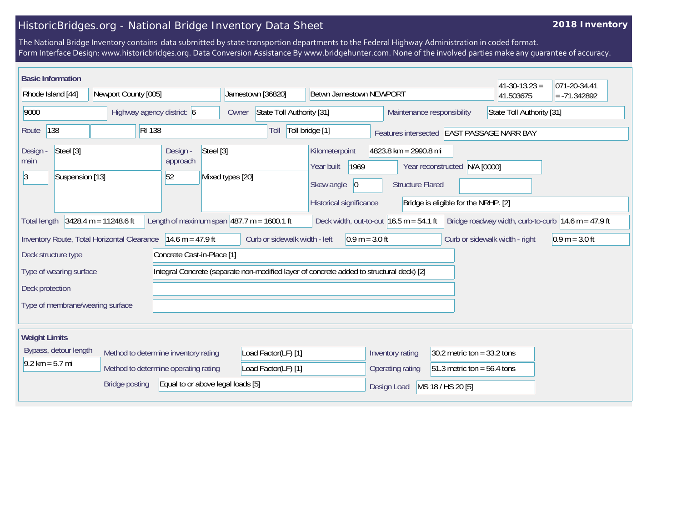## HistoricBridges.org - National Bridge Inventory Data Sheet

## **2018 Inventory**

The National Bridge Inventory contains data submitted by state transportion departments to the Federal Highway Administration in coded format. Form Interface Design: www.historicbridges.org. Data Conversion Assistance By www.bridgehunter.com. None of the involved parties make any guarantee of accuracy.

| <b>Basic Information</b>                                                                                                                                                                                                                |                                      |                            |                     | Betwn Jamestown NEWPORT                                  |                                                                                   |                                                         | $ 41-30-13.23 $                            | 071-20-34.41   |
|-----------------------------------------------------------------------------------------------------------------------------------------------------------------------------------------------------------------------------------------|--------------------------------------|----------------------------|---------------------|----------------------------------------------------------|-----------------------------------------------------------------------------------|---------------------------------------------------------|--------------------------------------------|----------------|
| Rhode Island [44]                                                                                                                                                                                                                       | Newport County [005]                 |                            | Jamestown [36820]   |                                                          |                                                                                   |                                                         | 41.503675                                  | $= -71.342892$ |
| 9000<br>Highway agency district: 6                                                                                                                                                                                                      |                                      |                            | Owner               | State Toll Authority [31]                                |                                                                                   | State Toll Authority [31]<br>Maintenance responsibility |                                            |                |
| 138<br><b>RI</b> 138<br>Route                                                                                                                                                                                                           |                                      |                            | Toll                | Toll bridge [1]                                          |                                                                                   |                                                         | Features intersected EAST PASSAGE NARR BAY |                |
| Steel [3]<br>Design -<br>Design -<br>main<br>approach<br>52<br> 3<br>Suspension [13]                                                                                                                                                    |                                      | Steel [3]                  | Mixed types [20]    | Kilometerpoint<br>1969<br>Year built                     | 4823.8 km = 2990.8 mi<br>Year reconstructed N/A [0000]<br><b>Structure Flared</b> |                                                         |                                            |                |
|                                                                                                                                                                                                                                         |                                      |                            |                     | Skew angle<br>$\vert 0 \vert$<br>Historical significance |                                                                                   | Bridge is eligible for the NRHP. [2]                    |                                            |                |
| Length of maximum span $ 487.7 \text{ m} = 1600.1 \text{ ft}$<br>$3428.4 m = 11248.6 ft$<br>Deck width, out-to-out $16.5$ m = 54.1 ft<br>Bridge roadway width, curb-to-curb $ 14.6 \text{ m} = 47.9 \text{ ft} $<br><b>Total length</b> |                                      |                            |                     |                                                          |                                                                                   |                                                         |                                            |                |
| 14.6 m = $47.9$ ft<br>Curb or sidewalk width - left<br>$0.9 m = 3.0 ft$<br>Curb or sidewalk width - right<br>Inventory Route, Total Horizontal Clearance<br>$0.9 m = 3.0 ft$                                                            |                                      |                            |                     |                                                          |                                                                                   |                                                         |                                            |                |
| Deck structure type                                                                                                                                                                                                                     |                                      | Concrete Cast-in-Place [1] |                     |                                                          |                                                                                   |                                                         |                                            |                |
| Integral Concrete (separate non-modified layer of concrete added to structural deck) [2]<br>Type of wearing surface                                                                                                                     |                                      |                            |                     |                                                          |                                                                                   |                                                         |                                            |                |
| Deck protection                                                                                                                                                                                                                         |                                      |                            |                     |                                                          |                                                                                   |                                                         |                                            |                |
| Type of membrane/wearing surface                                                                                                                                                                                                        |                                      |                            |                     |                                                          |                                                                                   |                                                         |                                            |                |
|                                                                                                                                                                                                                                         |                                      |                            |                     |                                                          |                                                                                   |                                                         |                                            |                |
| <b>Weight Limits</b>                                                                                                                                                                                                                    |                                      |                            |                     |                                                          |                                                                                   |                                                         |                                            |                |
| Bypass, detour length                                                                                                                                                                                                                   | Method to determine inventory rating |                            | Load Factor(LF) [1] |                                                          | Inventory rating                                                                  | 30.2 metric ton = $33.2$ tons                           |                                            |                |
| $9.2 \text{ km} = 5.7 \text{ mi}$                                                                                                                                                                                                       | Method to determine operating rating |                            | Load Factor(LF) [1] |                                                          | Operating rating                                                                  | $51.3$ metric ton = 56.4 tons                           |                                            |                |
| Equal to or above legal loads [5]<br><b>Bridge posting</b>                                                                                                                                                                              |                                      |                            |                     |                                                          | Design Load                                                                       | MS 18 / HS 20 [5]                                       |                                            |                |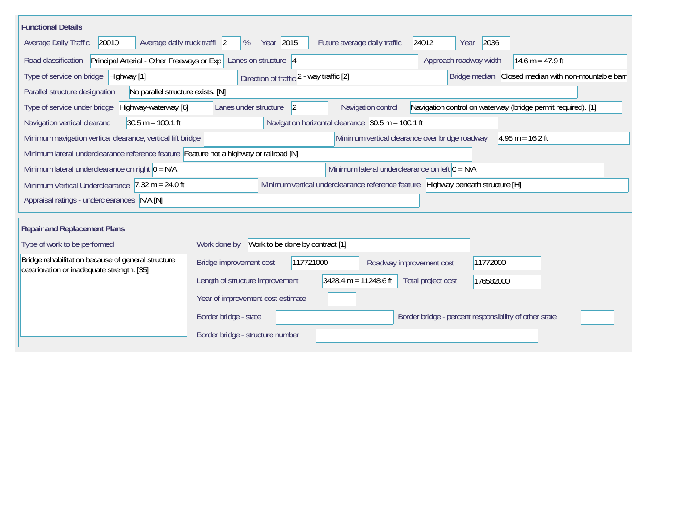| <b>Functional Details</b>                                                                                                           |                                                                                                                   |  |  |  |  |  |  |  |
|-------------------------------------------------------------------------------------------------------------------------------------|-------------------------------------------------------------------------------------------------------------------|--|--|--|--|--|--|--|
| Average daily truck traffi 2<br>Average Daily Traffic<br>20010                                                                      | Year 2015<br>2036<br>%<br>Future average daily traffic<br>24012<br>Year                                           |  |  |  |  |  |  |  |
| Road classification                                                                                                                 | Principal Arterial - Other Freeways or Exp   Lanes on structure 4<br>Approach roadway width<br>14.6 m = $47.9$ ft |  |  |  |  |  |  |  |
| Type of service on bridge Highway [1]                                                                                               | Bridge median Closed median with non-mountable barr<br>Direction of traffic 2 - way traffic [2]                   |  |  |  |  |  |  |  |
| Parallel structure designation<br>No parallel structure exists. [N]                                                                 |                                                                                                                   |  |  |  |  |  |  |  |
| Type of service under bridge<br>Highway-waterway [6]                                                                                | 2<br>Navigation control on waterway (bridge permit required). [1]<br>Lanes under structure<br>Navigation control  |  |  |  |  |  |  |  |
| $30.5 m = 100.1 ft$<br>Navigation vertical clearanc                                                                                 | Navigation horizontal clearance $ 30.5 \text{ m} = 100.1 \text{ ft} $                                             |  |  |  |  |  |  |  |
| Minimum vertical clearance over bridge roadway<br>Minimum navigation vertical clearance, vertical lift bridge<br>$4.95 m = 16.2 ft$ |                                                                                                                   |  |  |  |  |  |  |  |
| Minimum lateral underclearance reference feature Feature not a highway or railroad [N]                                              |                                                                                                                   |  |  |  |  |  |  |  |
| Minimum lateral underclearance on right $0 = N/A$                                                                                   | Minimum lateral underclearance on left $0 = N/A$                                                                  |  |  |  |  |  |  |  |
| Minimum Vertical Underclearance $ 7.32 \text{ m} = 24.0 \text{ ft} $                                                                | Minimum vertical underclearance reference feature Highway beneath structure [H]                                   |  |  |  |  |  |  |  |
| Appraisal ratings - underclearances N/A [N]                                                                                         |                                                                                                                   |  |  |  |  |  |  |  |
| <b>Repair and Replacement Plans</b>                                                                                                 |                                                                                                                   |  |  |  |  |  |  |  |
| Type of work to be performed                                                                                                        | Work to be done by contract [1]<br>Work done by                                                                   |  |  |  |  |  |  |  |
| Bridge rehabilitation because of general structure                                                                                  |                                                                                                                   |  |  |  |  |  |  |  |
| deterioration or inadequate strength. [35]                                                                                          | Bridge improvement cost<br>117721000<br>11772000<br>Roadway improvement cost                                      |  |  |  |  |  |  |  |
|                                                                                                                                     | $3428.4 m = 11248.6 ft$<br>Length of structure improvement<br>Total project cost<br>176582000                     |  |  |  |  |  |  |  |
|                                                                                                                                     | Year of improvement cost estimate                                                                                 |  |  |  |  |  |  |  |
|                                                                                                                                     | Border bridge - state<br>Border bridge - percent responsibility of other state                                    |  |  |  |  |  |  |  |
|                                                                                                                                     | Border bridge - structure number                                                                                  |  |  |  |  |  |  |  |